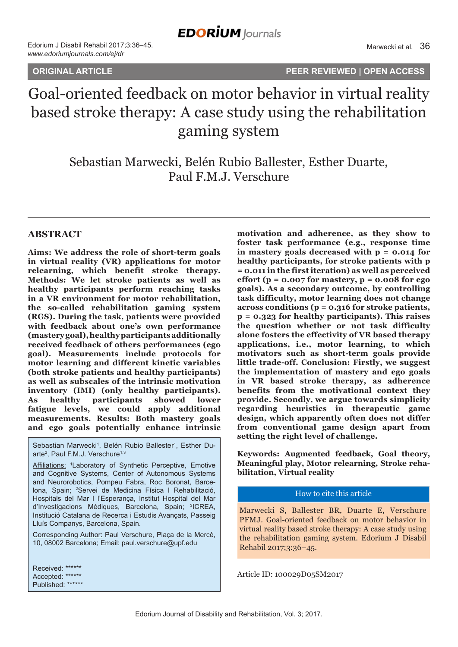**ORIGINAL ARTICLE PEER REVIEWED | OPEN ACCESS**

# Goal-oriented feedback on motor behavior in virtual reality based stroke therapy: A case study using the rehabilitation gaming system

Sebastian Marwecki, Belén Rubio Ballester, Esther Duarte, Paul F.M.J. Verschure

# **ABSTRACT**

**Aims: We address the role of short-term goals in virtual reality (VR) applications for motor relearning, which benefit stroke therapy. Methods: We let stroke patients as well as healthy participants perform reaching tasks in a VR environment for motor rehabilitation, the so-called rehabilitation gaming system (RGS). During the task, patients were provided with feedback about one's own performance (mastery goal), healthy participants additionally received feedback of others performances (ego goal). Measurements include protocols for motor learning and different kinetic variables (both stroke patients and healthy participants) as well as subscales of the intrinsic motivation inventory (IMI) (only healthy participants). As healthy participants showed lower fatigue levels, we could apply additional measurements. Results: Both mastery goals and ego goals potentially enhance intrinsic** 

Sebastian Marwecki<sup>1</sup>, Belén Rubio Ballester<sup>1</sup>, Esther Duarte<sup>2</sup>, Paul F.M.J. Verschure<sup>1,3</sup>

Affiliations: <sup>1</sup>Laboratory of Synthetic Perceptive, Emotive and Cognitive Systems, Center of Autonomous Systems and Neurorobotics, Pompeu Fabra, Roc Boronat, Barcelona, Spain; 2 Servei de Medicina Física I Rehabilitació, Hospitals del Mar I l'Esperança, Institut Hospital del Mar d'Investigacions Mèdiques, Barcelona, Spain; <sup>3</sup>ICREA, Institució Catalana de Recerca i Estudis Avançats, Passeig Lluís Companys, Barcelona, Spain.

Corresponding Author: Paul Verschure, Plaça de la Mercè, 10, 08002 Barcelona; Email: paul.verschure@upf.edu

Received: \*\*\*\*\*\* Accepted: \*\*\*\*\*\* Published: \*\*\*\*\*\* **motivation and adherence, as they show to foster task performance (e.g., response time in mastery goals decreased with p = 0.014 for healthy participants, for stroke patients with p = 0.011 in the first iteration) as well as perceived effort (p = 0.007 for mastery, p = 0.008 for ego goals). As a secondary outcome, by controlling task difficulty, motor learning does not change across conditions (p = 0.316 for stroke patients, p = 0.323 for healthy participants). This raises the question whether or not task difficulty alone fosters the effectivity of VR based therapy applications, i.e., motor learning, to which motivators such as short-term goals provide little trade-off. Conclusion: Firstly, we suggest the implementation of mastery and ego goals in VR based stroke therapy, as adherence benefits from the motivational context they provide. Secondly, we argue towards simplicity regarding heuristics in therapeutic game design, which apparently often does not differ from conventional game design apart from setting the right level of challenge.**

**Keywords: Augmented feedback, Goal theory, Meaningful play, Motor relearning, Stroke rehabilitation, Virtual reality**

#### How to cite this article

Marwecki S, Ballester BR, Duarte E, Verschure PFMJ. Goal-oriented feedback on motor behavior in virtual reality based stroke therapy: A case study using the rehabilitation gaming system. Edorium J Disabil Rehabil 2017;3:36–45.

Article ID: 100029D05SM2017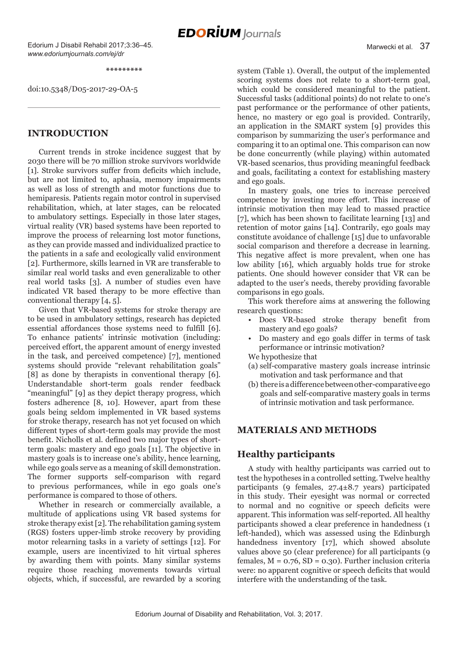Edorium J Disabil Rehabil 2017;3:36–45. *www.edoriumjournals.com/ej/dr*

Marwecki et al. 37

**\*\*\*\*\*\*\*\*\***

doi:10.5348/D05-2017-29-OA-5

# **INTRODUCTION**

Current trends in stroke incidence suggest that by 2030 there will be 70 million stroke survivors worldwide [1]. Stroke survivors suffer from deficits which include, but are not limited to, aphasia, memory impairments as well as loss of strength and motor functions due to hemiparesis. Patients regain motor control in supervised rehabilitation, which, at later stages, can be relocated to ambulatory settings. Especially in those later stages, virtual reality (VR) based systems have been reported to improve the process of relearning lost motor functions, as they can provide massed and individualized practice to the patients in a safe and ecologically valid environment [2]. Furthermore, skills learned in VR are transferable to similar real world tasks and even generalizable to other real world tasks [3]. A number of studies even have indicated VR based therapy to be more effective than conventional therapy [4, 5].

Given that VR-based systems for stroke therapy are to be used in ambulatory settings, research has depicted essential affordances those systems need to fulfill [6]. To enhance patients' intrinsic motivation (including: perceived effort, the apparent amount of energy invested in the task, and perceived competence) [7], mentioned systems should provide "relevant rehabilitation goals" [8] as done by therapists in conventional therapy [6]. Understandable short-term goals render feedback "meaningful" [9] as they depict therapy progress, which fosters adherence [8, 10]. However, apart from these goals being seldom implemented in VR based systems for stroke therapy, research has not yet focused on which different types of short-term goals may provide the most benefit. Nicholls et al. defined two major types of shortterm goals: mastery and ego goals [11]. The objective in mastery goals is to increase one's ability, hence learning, while ego goals serve as a meaning of skill demonstration. The former supports self-comparison with regard to previous performances, while in ego goals one's performance is compared to those of others.

Whether in research or commercially available, a multitude of applications using VR based systems for stroke therapy exist [2]. The rehabilitation gaming system (RGS) fosters upper-limb stroke recovery by providing motor relearning tasks in a variety of settings [12]. For example, users are incentivized to hit virtual spheres by awarding them with points. Many similar systems require those reaching movements towards virtual objects, which, if successful, are rewarded by a scoring system (Table 1). Overall, the output of the implemented scoring systems does not relate to a short-term goal, which could be considered meaningful to the patient. Successful tasks (additional points) do not relate to one's past performance or the performance of other patients, hence, no mastery or ego goal is provided. Contrarily, an application in the SMART system [9] provides this comparison by summarizing the user's performance and comparing it to an optimal one. This comparison can now be done concurrently (while playing) within automated VR-based scenarios, thus providing meaningful feedback and goals, facilitating a context for establishing mastery and ego goals.

In mastery goals, one tries to increase perceived competence by investing more effort. This increase of intrinsic motivation then may lead to massed practice [7], which has been shown to facilitate learning [13] and retention of motor gains [14]. Contrarily, ego goals may constitute avoidance of challenge [15] due to unfavorable social comparison and therefore a decrease in learning. This negative affect is more prevalent, when one has low ability [16], which arguably holds true for stroke patients. One should however consider that VR can be adapted to the user's needs, thereby providing favorable comparisons in ego goals.

This work therefore aims at answering the following research questions:

- Does VR-based stroke therapy benefit from mastery and ego goals?
- Do mastery and ego goals differ in terms of task performance or intrinsic motivation?

We hypothesize that

- (a) self-comparative mastery goals increase intrinsic motivation and task performance and that
- (b) there is a difference between other-comparative ego goals and self-comparative mastery goals in terms of intrinsic motivation and task performance.

# **MATERIALS AND METHODS**

# **Healthy participants**

A study with healthy participants was carried out to test the hypotheses in a controlled setting. Twelve healthy participants (9 females, 27.4±8.7 years) participated in this study. Their eyesight was normal or corrected to normal and no cognitive or speech deficits were apparent. This information was self-reported. All healthy participants showed a clear preference in handedness (1 left-handed), which was assessed using the Edinburgh handedness inventory [17], which showed absolute values above 50 (clear preference) for all participants (9 females,  $M = 0.76$ ,  $SD = 0.30$ . Further inclusion criteria were: no apparent cognitive or speech deficits that would interfere with the understanding of the task.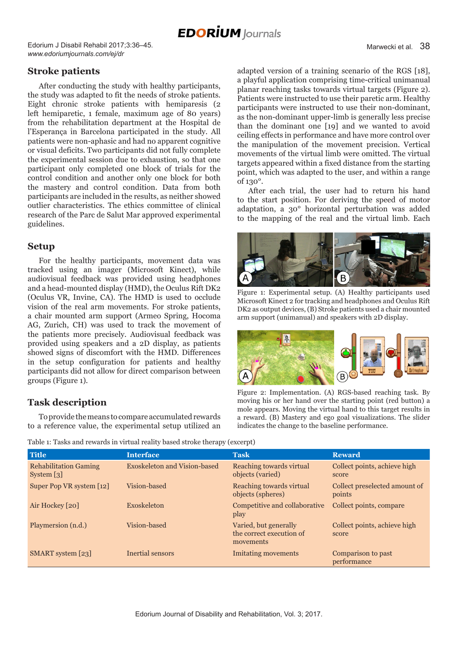Edorium J Disabil Rehabil 2017;3:36–45. *www.edoriumjournals.com/ej/dr*

# **Stroke patients**

After conducting the study with healthy participants, the study was adapted to fit the needs of stroke patients. Eight chronic stroke patients with hemiparesis (2 left hemiparetic, 1 female, maximum age of 80 years) from the rehabilitation department at the Hospital de l'Esperança in Barcelona participated in the study. All patients were non-aphasic and had no apparent cognitive or visual deficits. Two participants did not fully complete the experimental session due to exhaustion, so that one participant only completed one block of trials for the control condition and another only one block for both the mastery and control condition. Data from both participants are included in the results, as neither showed outlier characteristics. The ethics committee of clinical research of the Parc de Salut Mar approved experimental guidelines.

### **Setup**

For the healthy participants, movement data was tracked using an imager (Microsoft Kinect), while audiovisual feedback was provided using headphones and a head-mounted display (HMD), the Oculus Rift DK2 (Oculus VR, Invine, CA). The HMD is used to occlude vision of the real arm movements. For stroke patients, a chair mounted arm support (Armeo Spring, Hocoma AG, Zurich, CH) was used to track the movement of the patients more precisely. Audiovisual feedback was provided using speakers and a 2D display, as patients showed signs of discomfort with the HMD. Differences in the setup configuration for patients and healthy participants did not allow for direct comparison between groups (Figure 1).

# **Task description**

To provide the means to compare accumulated rewards to a reference value, the experimental setup utilized an adapted version of a training scenario of the RGS [18], a playful application comprising time-critical unimanual planar reaching tasks towards virtual targets (Figure 2). Patients were instructed to use their paretic arm. Healthy participants were instructed to use their non-dominant, as the non-dominant upper-limb is generally less precise than the dominant one [19] and we wanted to avoid ceiling effects in performance and have more control over the manipulation of the movement precision. Vertical movements of the virtual limb were omitted. The virtual targets appeared within a fixed distance from the starting point, which was adapted to the user, and within a range of 130°.

After each trial, the user had to return his hand to the start position. For deriving the speed of motor adaptation, a 30° horizontal perturbation was added to the mapping of the real and the virtual limb. Each



Figure 1: Experimental setup. (A) Healthy participants used Microsoft Kinect 2 for tracking and headphones and Oculus Rift DK2 as output devices, (B) Stroke patients used a chair mounted arm support (unimanual) and speakers with 2D display.



Figure 2: Implementation. (A) RGS-based reaching task. By moving his or her hand over the starting point (red button) a mole appears. Moving the virtual hand to this target results in a reward. (B) Mastery and ego goal visualizations. The slider indicates the change to the baseline performance.

| Table 1: Tasks and rewards in virtual reality based stroke therapy (excerpt) |  |
|------------------------------------------------------------------------------|--|
|------------------------------------------------------------------------------|--|

| <b>Title</b>                               | <b>Interface</b>                    | <b>Task</b>                                                    | <b>Reward</b>                           |
|--------------------------------------------|-------------------------------------|----------------------------------------------------------------|-----------------------------------------|
| <b>Rehabilitation Gaming</b><br>System [3] | <b>Exoskeleton and Vision-based</b> | Reaching towards virtual<br>objects (varied)                   | Collect points, achieve high<br>score   |
| Super Pop VR system [12]                   | Vision-based                        | Reaching towards virtual<br>objects (spheres)                  | Collect preselected amount of<br>points |
| Air Hockey [20]                            | Exoskeleton                         | Competitive and collaborative<br>play                          | Collect points, compare                 |
| Playmersion (n.d.)                         | Vision-based                        | Varied, but generally<br>the correct execution of<br>movements | Collect points, achieve high<br>score   |
| SMART system [23]                          | Inertial sensors                    | I mitating movements                                           | Comparison to past<br>performance       |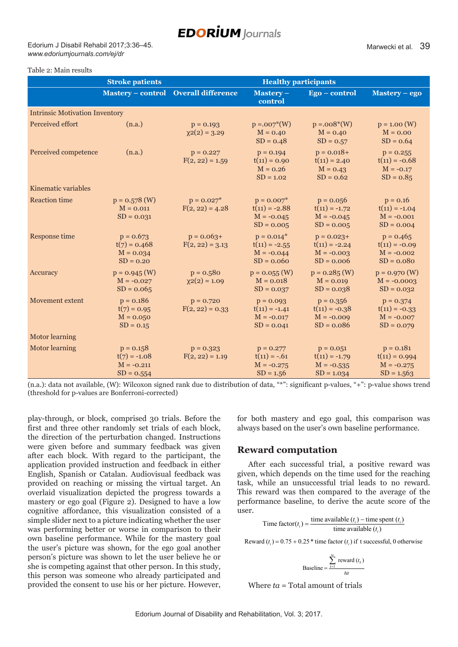Edorium J Disabil Rehabil 2017;3:36–45. *www.edoriumjournals.com/ej/dr*

#### Table 2: Main results

|                                       | <b>Stroke patients</b><br><b>Healthy participants</b>         |                                    |                                                                  |                                                                  |                                                                |  |  |  |
|---------------------------------------|---------------------------------------------------------------|------------------------------------|------------------------------------------------------------------|------------------------------------------------------------------|----------------------------------------------------------------|--|--|--|
|                                       | <b>Mastery – control</b>                                      | <b>Overall difference</b>          | Mastery-<br>control                                              | Ego - control                                                    | Mastery - ego                                                  |  |  |  |
| <b>Intrinsic Motivation Inventory</b> |                                                               |                                    |                                                                  |                                                                  |                                                                |  |  |  |
| Perceived effort                      | (n.a.)                                                        | $p = 0.193$<br>$\chi$ 2(2) = 3.29  | $p = .007*(W)$<br>$M = 0.40$<br>$SD = 0.48$                      | $p = .008*(W)$<br>$M = 0.40$<br>$SD = 0.57$                      | $p = 1.00$ (W)<br>$M = 0.00$<br>$SD = 0.64$                    |  |  |  |
| Perceived competence                  | (n.a.)                                                        | $p = 0.227$<br>$F(2, 22) = 1.59$   | $p = 0.194$<br>$t(11) = 0.90$<br>$M = 0.26$<br>$SD = 1.02$       | $p = 0.018 +$<br>$t(11) = 2.40$<br>$M = 0.43$<br>$SD = 0.62$     | $p = 0.255$<br>$t(11) = -0.68$<br>$M = -0.17$<br>$SD = 0.85$   |  |  |  |
| Kinematic variables                   |                                                               |                                    |                                                                  |                                                                  |                                                                |  |  |  |
| <b>Reaction time</b>                  | $p = 0.578$ (W)<br>$M = 0.011$<br>$SD = 0.031$                | $p = 0.027$ *<br>$F(2, 22) = 4.28$ | $p = 0.007$ *<br>$t(11) = -2.88$<br>$M = -0.045$<br>$SD = 0.005$ | $p = 0.056$<br>$t(11) = -1.72$<br>$M = -0.045$<br>$SD = 0.005$   | $p = 0.16$<br>$t(11) = -1.04$<br>$M = -0.001$<br>$SD = 0.004$  |  |  |  |
| Response time                         | $p = 0.673$<br>$t(7) = 0.468$<br>$M = 0.034$<br>$SD = 0.20$   | $p = 0.063+$<br>$F(2, 22) = 3.13$  | $p = 0.014*$<br>$t(11) = -2.55$<br>$M = -0.044$<br>$SD = 0.060$  | $p = 0.023 +$<br>$t(11) = -2.24$<br>$M = -0.003$<br>$SD = 0.006$ | $p = 0.465$<br>$t(11) = -0.09$<br>$M = -0.002$<br>$SD = 0.080$ |  |  |  |
| Accuracy                              | $p = 0.945$ (W)<br>$M = -0.027$<br>$SD = 0.065$               | $p = 0.580$<br>$\chi$ 2(2) = 1.09  | $p = 0.055$ (W)<br>$M = 0.018$<br>$SD = 0.037$                   | $p = 0.285$ (W)<br>$M = 0.019$<br>$SD = 0.038$                   | $p = 0.970$ (W)<br>$M = -0.0003$<br>$SD = 0.032$               |  |  |  |
| <b>Movement</b> extent                | $p = 0.186$<br>$t(7) = 0.95$<br>$M = 0.050$<br>$SD = 0.15$    | $p = 0.720$<br>$F(2, 22) = 0.33$   | $p = 0.093$<br>$t(11) = -1.41$<br>$M = -0.017$<br>$SD = 0.041$   | $p = 0.356$<br>$t(11) = -0.38$<br>$M = -0.009$<br>$SD = 0.086$   | $p = 0.374$<br>$t(11) = -0.33$<br>$M = -0.007$<br>$SD = 0.079$ |  |  |  |
| <b>Motor learning</b>                 |                                                               |                                    |                                                                  |                                                                  |                                                                |  |  |  |
| <b>Motor learning</b>                 | $p = 0.158$<br>$t(7) = -1.08$<br>$M = -0.211$<br>$SD = 0.554$ | $p = 0.323$<br>$F(2, 22) = 1.19$   | $p = 0.277$<br>$t(11) = -.61$<br>$M = -0.275$<br>$SD = 1.56$     | $p = 0.051$<br>$t(11) = -1.79$<br>$M = -0.535$<br>$SD = 1.034$   | $p = 0.181$<br>$t(11) = 0.994$<br>$M = -0.275$<br>$SD = 1.563$ |  |  |  |

(n.a.): data not available, (W): Wilcoxon signed rank due to distribution of data, "\*": significant p-values, "+": p-value shows trend (threshold for p-values are Bonferroni-corrected)

play-through, or block, comprised 30 trials. Before the first and three other randomly set trials of each block, the direction of the perturbation changed. Instructions were given before and summary feedback was given after each block. With regard to the participant, the application provided instruction and feedback in either English, Spanish or Catalan. Audiovisual feedback was provided on reaching or missing the virtual target. An overlaid visualization depicted the progress towards a mastery or ego goal (Figure 2). Designed to have a low cognitive affordance, this visualization consisted of a simple slider next to a picture indicating whether the user was performing better or worse in comparison to their own baseline performance. While for the mastery goal the user's picture was shown, for the ego goal another person's picture was shown to let the user believe he or she is competing against that other person. In this study, this person was someone who already participated and provided the consent to use his or her picture. However,

for both mastery and ego goal, this comparison was always based on the user's own baseline performance.

### **Reward computation**

After each successful trial, a positive reward was given, which depends on the time used for the reaching task, while an unsuccessful trial leads to no reward. This reward was then compared to the average of the performance baseline, to derive the acute score of the user.

> Time factor( $t_i$ ) =  $\frac{\text{time available } (t_i) - \text{time spent } (t_i)}{\text{time available } (t_i)}$  $t_i$ ) =  $\frac{\text{time available } (t_i) - \text{time spent } (t_i)}{\text{time available } (t_i)}$

Reward  $(t_i) = 0.75 + 0.25$  \* time factor  $(t_i)$  if t successful, 0 otherwise

$$
Baseline = \frac{\sum_{k=1}^{ia} \text{reward}(t_k)}{ta}
$$

Where  $ta = \text{Total amount of trials}$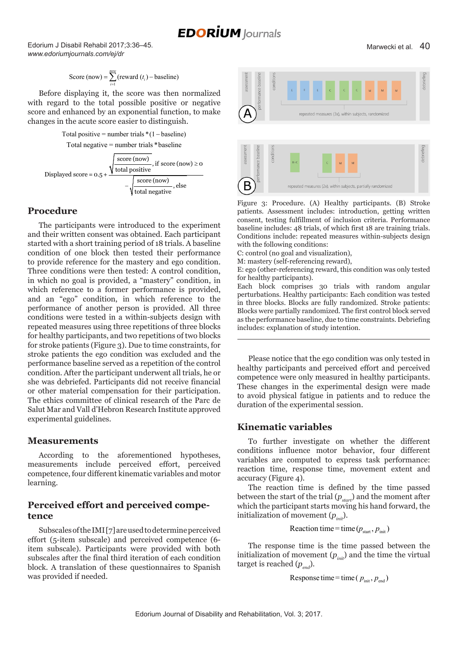Edorium J Disabil Rehabil 2017;3:36–45. *www.edoriumjournals.com/ej/dr*

Score (now) = 
$$
\sum_{i=1}^{now}
$$
 (reward (*t<sub>i</sub>*) – baseline)

Before displaying it, the score was then normalized with regard to the total possible positive or negative score and enhanced by an exponential function, to make changes in the acute score easier to distinguish.

Total positive = number trials 
$$
*(1 - \text{baseline})
$$



# **Procedure**

The participants were introduced to the experiment and their written consent was obtained. Each participant started with a short training period of 18 trials. A baseline condition of one block then tested their performance to provide reference for the mastery and ego condition. Three conditions were then tested: A control condition, in which no goal is provided, a "mastery" condition, in which reference to a former performance is provided, and an "ego" condition, in which reference to the performance of another person is provided. All three conditions were tested in a within-subjects design with repeated measures using three repetitions of three blocks for healthy participants, and two repetitions of two blocks for stroke patients (Figure 3). Due to time constraints, for stroke patients the ego condition was excluded and the performance baseline served as a repetition of the control condition. After the participant underwent all trials, he or she was debriefed. Participants did not receive financial or other material compensation for their participation. The ethics committee of clinical research of the Parc de Salut Mar and Vall d'Hebron Research Institute approved experimental guidelines.

### **Measurements**

According to the aforementioned hypotheses, measurements include perceived effort, perceived competence, four different kinematic variables and motor learning.

# **Perceived effort and perceived competence**

Subscales of the IMI [7] are used to determine perceived effort (5-item subscale) and perceived competence (6 item subscale). Participants were provided with both subscales after the final third iteration of each condition block. A translation of these questionnaires to Spanish was provided if needed.



Figure 3: Procedure. (A) Healthy participants. (B) Stroke patients. Assessment includes: introduction, getting written consent, testing fulfillment of inclusion criteria. Performance baseline includes: 48 trials, of which first 18 are training trials. Conditions include: repeated measures within-subjects design with the following conditions:

C: control (no goal and visualization),

M: mastery (self-referencing reward),

E: ego (other-referencing reward, this condition was only tested for healthy participants).

Each block comprises 30 trials with random angular perturbations. Healthy participants: Each condition was tested in three blocks. Blocks are fully randomized. Stroke patients: Blocks were partially randomized. The first control block served as the performance baseline, due to time constraints. Debriefing includes: explanation of study intention.

Please notice that the ego condition was only tested in healthy participants and perceived effort and perceived competence were only measured in healthy participants. These changes in the experimental design were made to avoid physical fatigue in patients and to reduce the duration of the experimental session.

# **Kinematic variables**

To further investigate on whether the different conditions influence motor behavior, four different variables are computed to express task performance: reaction time, response time, movement extent and accuracy (Figure 4).

The reaction time is defined by the time passed between the start of the trial  $(p_{start})$  and the moment after which the participant starts moving his hand forward, the initialization of movement  $(p_{\text{init}})$ .

Reaction time = time ( $p_{\text{start}}$ ,  $p_{\text{init}}$ )

The response time is the time passed between the initialization of movement  $(p_{\text{init}})$  and the time the virtual target is reached  $(p_{end})$ .

Response time = time ( $p_{\text{init}}$ ,  $p_{\text{end}}$ )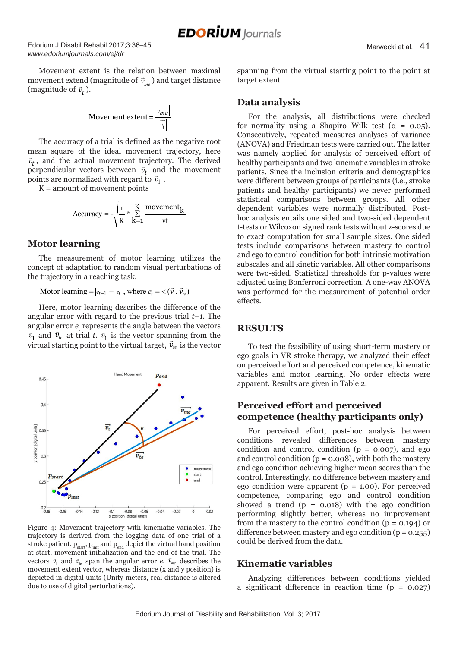Edorium J Disabil Rehabil 2017;3:36–45. *www.edoriumjournals.com/ej/dr*

Movement extent is the relation between maximal movement extend (magnitude of  $\vec{v}_{me}$ ) and target distance (magnitude of  $\vec{v}_t$ ).

$$
Movernent extent = \frac{\left|\overrightarrow{v_{me}}\right|}{\left|\overrightarrow{v_{l}}\right|}
$$

The accuracy of a trial is defined as the negative root mean square of the ideal movement trajectory, here  $\vec{v}_t$ , and the actual movement trajectory. The derived perpendicular vectors between  $\vec{v}_t$  and the movement points are normalized with regard to  $\vec{v}_1$ .

 $K =$  amount of movement points

$$
Accuracy = -\sqrt{\frac{1}{K} * \sum_{k=1}^{K} \frac{ movement_k}{|vt|}}
$$

#### **Motor learning**

The measurement of motor learning utilizes the concept of adaptation to random visual perturbations of the trajectory in a reaching task.

Motor learning  $= |e_{t-1}| - |e_t|$ , where  $e_t = \langle (\vec{v}_1, \vec{v}_t) \rangle$ 

Here, motor learning describes the difference of the angular error with regard to the previous trial *t*–1. The angular error  $e_t$  represents the angle between the vectors  $\overline{1}$  $\vec{v}_1$  and  $\vec{v}_e$  at trial *t*.  $\vec{v}_1$  is the vector spanning from the  $v_1$  and  $v_k$  at that  $v_1$  is the vector spanning from the virtual starting point to the virtual target,  $\vec{v}_k$  is the vector



Figure 4: Movement trajectory with kinematic variables. The trajectory is derived from the logging data of one trial of a stroke patient.  $p_{start}$ ,  $p_{init}$  and  $p_{end}$  depict the virtual hand position at start, movement initialization and the end of the trial. The vectors  $\vec{v}_1$  and  $\vec{v}_k$  span the angular error *e*.  $\vec{v}_{me}$  describes the movement extent vector, whereas distance (x and y position) is depicted in digital units (Unity meters, real distance is altered due to use of digital perturbations).

spanning from the virtual starting point to the point at target extent.

#### **Data analysis**

For the analysis, all distributions were checked for normality using a Shapiro–Wilk test ( $\alpha = 0.05$ ). Consecutively, repeated measures analyses of variance (ANOVA) and Friedman tests were carried out. The latter was namely applied for analysis of perceived effort of healthy participants and two kinematic variables in stroke patients. Since the inclusion criteria and demographics were different between groups of participants (i.e., stroke patients and healthy participants) we never performed statistical comparisons between groups. All other dependent variables were normally distributed. Posthoc analysis entails one sided and two-sided dependent t-tests or Wilcoxon signed rank tests without z-scores due to exact computation for small sample sizes. One sided tests include comparisons between mastery to control and ego to control condition for both intrinsic motivation subscales and all kinetic variables. All other comparisons were two-sided. Statistical thresholds for p-values were adjusted using Bonferroni correction. A one-way ANOVA was performed for the measurement of potential order effects.

#### **RESULTS**

To test the feasibility of using short-term mastery or ego goals in VR stroke therapy, we analyzed their effect on perceived effort and perceived competence, kinematic variables and motor learning. No order effects were apparent. Results are given in Table 2.

# **Perceived effort and perceived competence (healthy participants only)**

For perceived effort, post-hoc analysis between conditions revealed differences between mastery condition and control condition  $(p = 0.007)$ , and ego and control condition  $(p = 0.008)$ , with both the mastery and ego condition achieving higher mean scores than the control. Interestingly, no difference between mastery and ego condition were apparent ( $p = 1.00$ ). For perceived competence, comparing ego and control condition showed a trend  $(p = 0.018)$  with the ego condition performing slightly better, whereas no improvement from the mastery to the control condition (p = 0.194) or difference between mastery and ego condition  $(p = 0.255)$ could be derived from the data.

#### **Kinematic variables**

Analyzing differences between conditions yielded a significant difference in reaction time  $(p = 0.027)$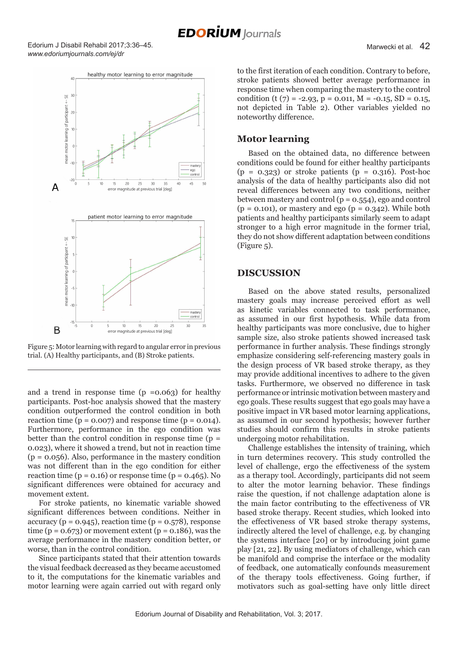Edorium J Disabil Rehabil 2017;3:36–45. *www.edoriumjournals.com/ej/dr*



Figure 5: Motor learning with regard to angular error in previous trial. (A) Healthy participants, and (B) Stroke patients.

and a trend in response time  $(p = 0.063)$  for healthy participants. Post-hoc analysis showed that the mastery condition outperformed the control condition in both reaction time ( $p = 0.007$ ) and response time ( $p = 0.014$ ). Furthermore, performance in the ego condition was better than the control condition in response time  $(p =$ 0.023), where it showed a trend, but not in reaction time  $(p = 0.056)$ . Also, performance in the mastery condition was not different than in the ego condition for either reaction time ( $p = 0.16$ ) or response time ( $p = 0.465$ ). No significant differences were obtained for accuracy and movement extent.

For stroke patients, no kinematic variable showed significant differences between conditions. Neither in accuracy ( $p = 0.945$ ), reaction time ( $p = 0.578$ ), response time ( $p = 0.673$ ) or movement extent ( $p = 0.186$ ), was the average performance in the mastery condition better, or worse, than in the control condition.

Since participants stated that their attention towards the visual feedback decreased as they became accustomed to it, the computations for the kinematic variables and motor learning were again carried out with regard only to the first iteration of each condition. Contrary to before, stroke patients showed better average performance in response time when comparing the mastery to the control condition (t (7) = -2.93, p = 0.011, M = -0.15, SD = 0.15, not depicted in Table 2). Other variables yielded no noteworthy difference.

### **Motor learning**

Based on the obtained data, no difference between conditions could be found for either healthy participants  $(p = 0.323)$  or stroke patients  $(p = 0.316)$ . Post-hoc analysis of the data of healthy participants also did not reveal differences between any two conditions, neither between mastery and control (p = 0.554), ego and control  $(p = 0.101)$ , or mastery and ego  $(p = 0.342)$ . While both patients and healthy participants similarly seem to adapt stronger to a high error magnitude in the former trial, they do not show different adaptation between conditions (Figure 5).

#### **DISCUSSION**

Based on the above stated results, personalized mastery goals may increase perceived effort as well as kinetic variables connected to task performance, as assumed in our first hypothesis. While data from healthy participants was more conclusive, due to higher sample size, also stroke patients showed increased task performance in further analysis. These findings strongly emphasize considering self-referencing mastery goals in the design process of VR based stroke therapy, as they may provide additional incentives to adhere to the given tasks. Furthermore, we observed no difference in task performance or intrinsic motivation between mastery and ego goals. These results suggest that ego goals may have a positive impact in VR based motor learning applications, as assumed in our second hypothesis; however further studies should confirm this results in stroke patients undergoing motor rehabilitation.

Challenge establishes the intensity of training, which in turn determines recovery. This study controlled the level of challenge, ergo the effectiveness of the system as a therapy tool. Accordingly, participants did not seem to alter the motor learning behavior. These findings raise the question, if not challenge adaptation alone is the main factor contributing to the effectiveness of VR based stroke therapy. Recent studies, which looked into the effectiveness of VR based stroke therapy systems, indirectly altered the level of challenge, e.g. by changing the systems interface [20] or by introducing joint game play [21, 22]. By using mediators of challenge, which can be manifold and comprise the interface or the modality of feedback, one automatically confounds measurement of the therapy tools effectiveness. Going further, if motivators such as goal-setting have only little direct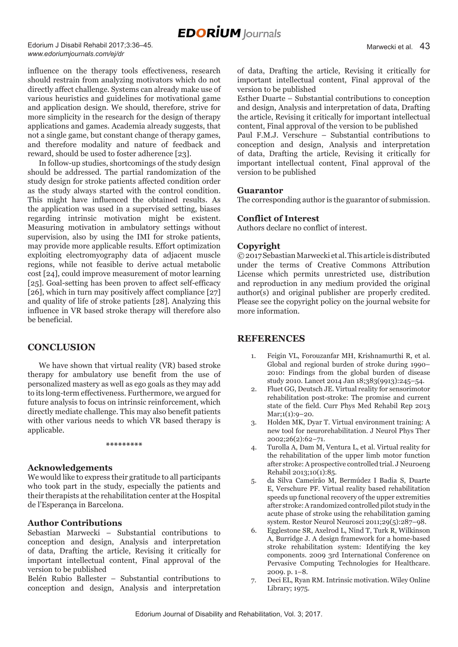Edorium J Disabil Rehabil 2017;3:36–45. *www.edoriumjournals.com/ej/dr*

influence on the therapy tools effectiveness, research should restrain from analyzing motivators which do not directly affect challenge. Systems can already make use of various heuristics and guidelines for motivational game and application design. We should, therefore, strive for more simplicity in the research for the design of therapy applications and games. Academia already suggests, that not a single game, but constant change of therapy games, and therefore modality and nature of feedback and reward, should be used to foster adherence [23].

In follow-up studies, shortcomings of the study design should be addressed. The partial randomization of the study design for stroke patients affected condition order as the study always started with the control condition. This might have influenced the obtained results. As the application was used in a supervised setting, biases regarding intrinsic motivation might be existent. Measuring motivation in ambulatory settings without supervision, also by using the IMI for stroke patients, may provide more applicable results. Effort optimization exploiting electromyography data of adjacent muscle regions, while not feasible to derive actual metabolic cost [24], could improve measurement of motor learning [25]. Goal-setting has been proven to affect self-efficacy [26], which in turn may positively affect compliance [27] and quality of life of stroke patients [28]. Analyzing this influence in VR based stroke therapy will therefore also be beneficial.

# **CONCLUSION**

We have shown that virtual reality (VR) based stroke therapy for ambulatory use benefit from the use of personalized mastery as well as ego goals as they may add to its long-term effectiveness. Furthermore, we argued for future analysis to focus on intrinsic reinforcement, which directly mediate challenge. This may also benefit patients with other various needs to which VR based therapy is applicable.

**\*\*\*\*\*\*\*\*\***

### **Acknowledgements**

We would like to express their gratitude to all participants who took part in the study, especially the patients and their therapists at the rehabilitation center at the Hospital de l'Esperança in Barcelona.

### **Author Contributions**

Sebastian Marwecki – Substantial contributions to conception and design, Analysis and interpretation of data, Drafting the article, Revising it critically for important intellectual content, Final approval of the version to be published

Belén Rubio Ballester – Substantial contributions to conception and design, Analysis and interpretation of data, Drafting the article, Revising it critically for important intellectual content, Final approval of the version to be published

Esther Duarte – Substantial contributions to conception and design, Analysis and interpretation of data, Drafting the article, Revising it critically for important intellectual content, Final approval of the version to be published

Paul F.M.J. Verschure – Substantial contributions to conception and design, Analysis and interpretation of data, Drafting the article, Revising it critically for important intellectual content, Final approval of the version to be published

#### **Guarantor**

The corresponding author is the guarantor of submission.

#### **Conflict of Interest**

Authors declare no conflict of interest.

#### **Copyright**

© 2017 Sebastian Marwecki et al. This article is distributed under the terms of Creative Commons Attribution License which permits unrestricted use, distribution and reproduction in any medium provided the original author(s) and original publisher are properly credited. Please see the copyright policy on the journal website for more information.

### **REFERENCES**

- 1. Feigin VL, Forouzanfar MH, Krishnamurthi R, et al. Global and regional burden of stroke during 1990– 2010: Findings from the global burden of disease study 2010. Lancet 2014 Jan 18;383(9913):245–54.
- 2. Fluet GG, Deutsch JE. Virtual reality for sensorimotor rehabilitation post-stroke: The promise and current state of the field. Curr Phys Med Rehabil Rep 2013  $Mar:1(1):9-20.$
- 3. Holden MK, Dyar T. Virtual environment training: A new tool for neurorehabilitation. J Neurol Phys Ther 2002;26(2):62–71.
- 4. Turolla A, Dam M, Ventura L, et al. Virtual reality for the rehabilitation of the upper limb motor function after stroke: A prospective controlled trial. J Neuroeng Rehabil 2013;10(1):85.
- 5. da Silva Cameirão M, Bermúdez I Badia S, Duarte E, Verschure PF. Virtual reality based rehabilitation speeds up functional recovery of the upper extremities after stroke: A randomized controlled pilot study in the acute phase of stroke using the rehabilitation gaming system. Restor Neurol Neurosci 2011;29(5):287–98.
- 6. Egglestone SR, Axelrod L, Nind T, Turk R, Wilkinson A, Burridge J. A design framework for a home-based stroke rehabilitation system: Identifying the key components. 2009 3rd International Conference on Pervasive Computing Technologies for Healthcare. 2009. p. 1–8.
- 7. Deci EL, Ryan RM. Intrinsic motivation. Wiley Online Library; 1975.